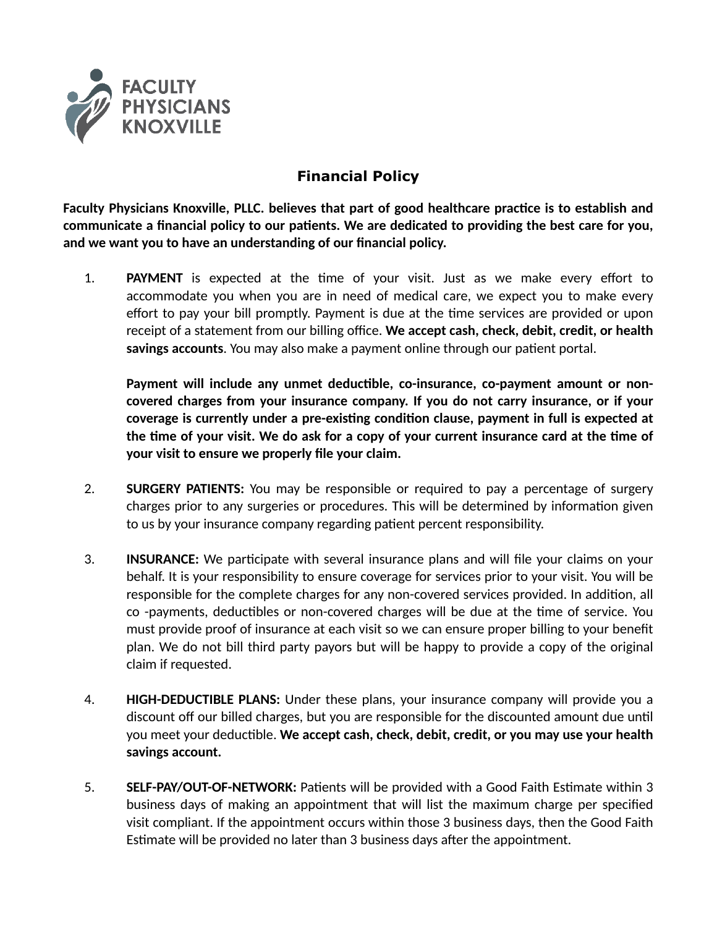

## **Financial Policy**

**Faculty Physicians Knoxville, PLLC. believes that part of good healthcare practice is to establish and communicate a financial policy to our patients. We are dedicated to providing the best care for you, and we want you to have an understanding of our financial policy.**

1. **PAYMENT** is expected at the time of your visit. Just as we make every effort to accommodate you when you are in need of medical care, we expect you to make every effort to pay your bill promptly. Payment is due at the time services are provided or upon receipt of a statement from our billing office. **We accept cash, check, debit, credit, or health savings accounts**. You may also make a payment online through our patient portal.

**Payment will include any unmet deductible, co-insurance, co-payment amount or noncovered charges from your insurance company. If you do not carry insurance, or if your coverage is currently under a pre-existing condition clause, payment in full is expected at the time of your visit. We do ask for a copy of your current insurance card at the time of your visit to ensure we properly file your claim.**

- 2. **SURGERY PATIENTS:** You may be responsible or required to pay a percentage of surgery charges prior to any surgeries or procedures. This will be determined by information given to us by your insurance company regarding patient percent responsibility.
- 3. **INSURANCE:** We participate with several insurance plans and will file your claims on your behalf. It is your responsibility to ensure coverage for services prior to your visit. You will be responsible for the complete charges for any non-covered services provided. In addition, all co -payments, deductibles or non-covered charges will be due at the time of service. You must provide proof of insurance at each visit so we can ensure proper billing to your benefit plan. We do not bill third party payors but will be happy to provide a copy of the original claim if requested.
- 4. **HIGH-DEDUCTIBLE PLANS:** Under these plans, your insurance company will provide you a discount off our billed charges, but you are responsible for the discounted amount due until you meet your deductible. **We accept cash, check, debit, credit, or you may use your health savings account.**
- 5. **SELF-PAY/OUT-OF-NETWORK:** Patients will be provided with a Good Faith Estimate within 3 business days of making an appointment that will list the maximum charge per specified visit compliant. If the appointment occurs within those 3 business days, then the Good Faith Estimate will be provided no later than 3 business days after the appointment.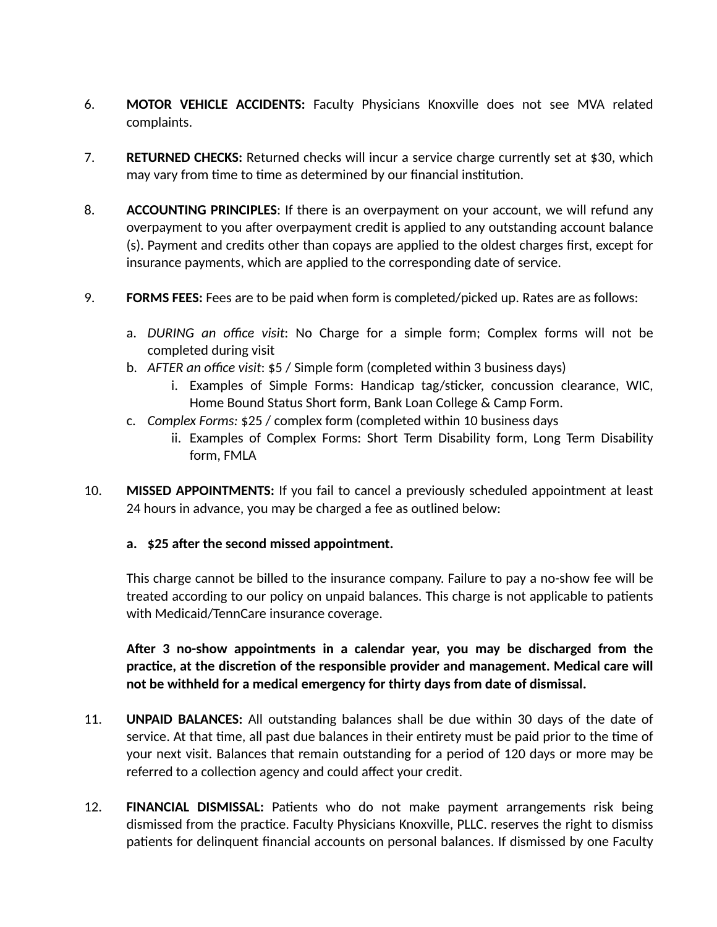- 6. **MOTOR VEHICLE ACCIDENTS:** Faculty Physicians Knoxville does not see MVA related complaints.
- 7. **RETURNED CHECKS:** Returned checks will incur a service charge currently set at \$30, which may vary from time to time as determined by our financial institution.
- 8. **ACCOUNTING PRINCIPLES**: If there is an overpayment on your account, we will refund any overpayment to you after overpayment credit is applied to any outstanding account balance (s). Payment and credits other than copays are applied to the oldest charges first, except for insurance payments, which are applied to the corresponding date of service.
- 9. **FORMS FEES:** Fees are to be paid when form is completed/picked up. Rates are as follows:
	- a. *DURING an office visit*: No Charge for a simple form; Complex forms will not be completed during visit
	- b. *AFTER an office visit*: \$5 / Simple form (completed within 3 business days)
		- i. Examples of Simple Forms: Handicap tag/sticker, concussion clearance, WIC, Home Bound Status Short form, Bank Loan College & Camp Form.
	- c. *Complex Forms:* \$25 / complex form (completed within 10 business days
		- ii. Examples of Complex Forms: Short Term Disability form, Long Term Disability form, FMLA
- 10. **MISSED APPOINTMENTS:** If you fail to cancel a previously scheduled appointment at least 24 hours in advance, you may be charged a fee as outlined below:

## **a. \$25 after the second missed appointment.**

This charge cannot be billed to the insurance company. Failure to pay a no-show fee will be treated according to our policy on unpaid balances. This charge is not applicable to patients with Medicaid/TennCare insurance coverage.

**After 3 no-show appointments in a calendar year, you may be discharged from the practice, at the discretion of the responsible provider and management. Medical care will not be withheld for a medical emergency for thirty days from date of dismissal.**

- 11. **UNPAID BALANCES:** All outstanding balances shall be due within 30 days of the date of service. At that time, all past due balances in their entirety must be paid prior to the time of your next visit. Balances that remain outstanding for a period of 120 days or more may be referred to a collection agency and could affect your credit.
- 12. **FINANCIAL DISMISSAL:** Patients who do not make payment arrangements risk being dismissed from the practice. Faculty Physicians Knoxville, PLLC. reserves the right to dismiss patients for delinquent financial accounts on personal balances. If dismissed by one Faculty